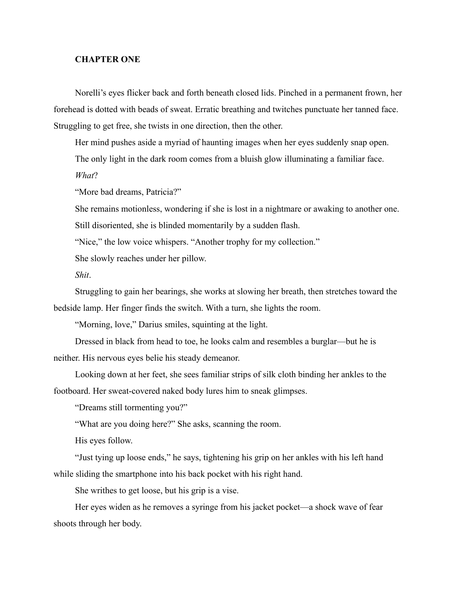## **CHAPTER ONE**

Norelli's eyes flicker back and forth beneath closed lids. Pinched in a permanent frown, her forehead is dotted with beads of sweat. Erratic breathing and twitches punctuate her tanned face. Struggling to get free, she twists in one direction, then the other.

Her mind pushes aside a myriad of haunting images when her eyes suddenly snap open.

The only light in the dark room comes from a bluish glow illuminating a familiar face.

*What*?

"More bad dreams, Patricia?"

She remains motionless, wondering if she is lost in a nightmare or awaking to another one. Still disoriented, she is blinded momentarily by a sudden flash.

"Nice," the low voice whispers. "Another trophy for my collection."

She slowly reaches under her pillow.

*Shit*.

Struggling to gain her bearings, she works at slowing her breath, then stretches toward the bedside lamp. Her finger finds the switch. With a turn, she lights the room.

"Morning, love," Darius smiles, squinting at the light.

Dressed in black from head to toe, he looks calm and resembles a burglar—but he is neither. His nervous eyes belie his steady demeanor.

Looking down at her feet, she sees familiar strips of silk cloth binding her ankles to the footboard. Her sweat-covered naked body lures him to sneak glimpses.

"Dreams still tormenting you?"

"What are you doing here?" She asks, scanning the room.

His eyes follow.

"Just tying up loose ends," he says, tightening his grip on her ankles with his left hand while sliding the smartphone into his back pocket with his right hand.

She writhes to get loose, but his grip is a vise.

Her eyes widen as he removes a syringe from his jacket pocket—a shock wave of fear shoots through her body.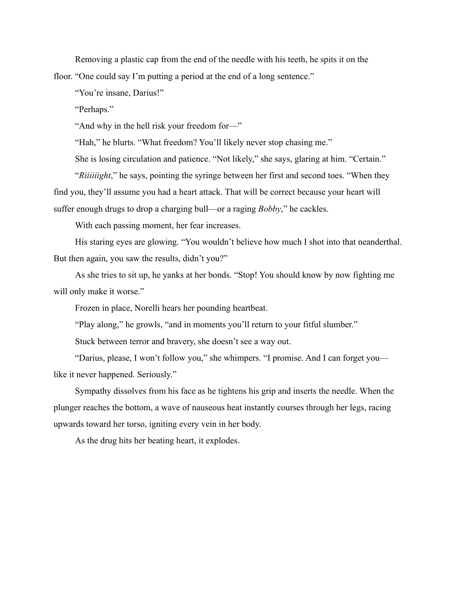Removing a plastic cap from the end of the needle with his teeth, he spits it on the floor. "One could say I'm putting a period at the end of a long sentence."

"You're insane, Darius!"

"Perhaps."

"And why in the hell risk your freedom for—"

"Hah," he blurts. "What freedom? You'll likely never stop chasing me."

She is losing circulation and patience. "Not likely," she says, glaring at him. "Certain."

"*Riiiiiight*," he says, pointing the syringe between her first and second toes. "When they find you, they'll assume you had a heart attack. That will be correct because your heart will suffer enough drugs to drop a charging bull—or a raging *Bobby*," he cackles.

With each passing moment, her fear increases.

His staring eyes are glowing. "You wouldn't believe how much I shot into that neanderthal. But then again, you saw the results, didn't you?"

As she tries to sit up, he yanks at her bonds. "Stop! You should know by now fighting me will only make it worse."

Frozen in place, Norelli hears her pounding heartbeat.

"Play along," he growls, "and in moments you'll return to your fitful slumber."

Stuck between terror and bravery, she doesn't see a way out.

"Darius, please, I won't follow you," she whimpers. "I promise. And I can forget you like it never happened. Seriously."

Sympathy dissolves from his face as he tightens his grip and inserts the needle. When the plunger reaches the bottom, a wave of nauseous heat instantly courses through her legs, racing upwards toward her torso, igniting every vein in her body.

As the drug hits her beating heart, it explodes.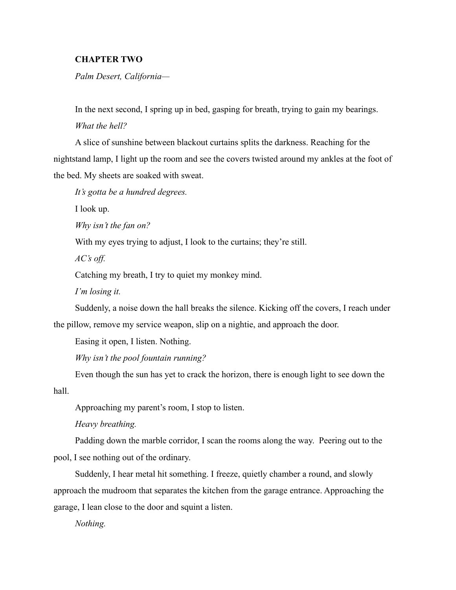## **CHAPTER TWO**

*Palm Desert, California—*

In the next second, I spring up in bed, gasping for breath, trying to gain my bearings. *What the hell?*

A slice of sunshine between blackout curtains splits the darkness. Reaching for the nightstand lamp, I light up the room and see the covers twisted around my ankles at the foot of the bed. My sheets are soaked with sweat.

*It's gotta be a hundred degrees.*

I look up.

*Why isn't the fan on?*

With my eyes trying to adjust, I look to the curtains; they're still.

*AC's off.*

Catching my breath, I try to quiet my monkey mind.

*I'm losing it.*

Suddenly, a noise down the hall breaks the silence. Kicking off the covers, I reach under the pillow, remove my service weapon, slip on a nightie, and approach the door.

Easing it open, I listen. Nothing.

*Why isn't the pool fountain running?*

Even though the sun has yet to crack the horizon, there is enough light to see down the hall.

Approaching my parent's room, I stop to listen.

*Heavy breathing.* 

Padding down the marble corridor, I scan the rooms along the way. Peering out to the pool, I see nothing out of the ordinary.

Suddenly, I hear metal hit something. I freeze, quietly chamber a round, and slowly approach the mudroom that separates the kitchen from the garage entrance. Approaching the garage, I lean close to the door and squint a listen.

*Nothing.*